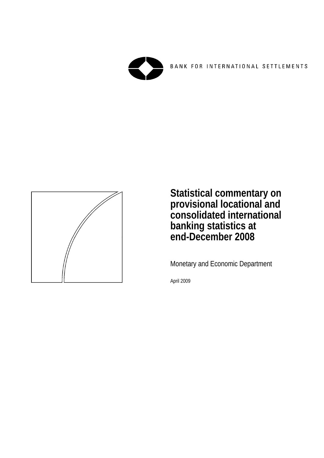

BANK FOR INTERNATIONAL SETTLEMENTS



**Statistical commentary on provisional locational and consolidated international banking statistics at end-December 2008** 

Monetary and Economic Department

April 2009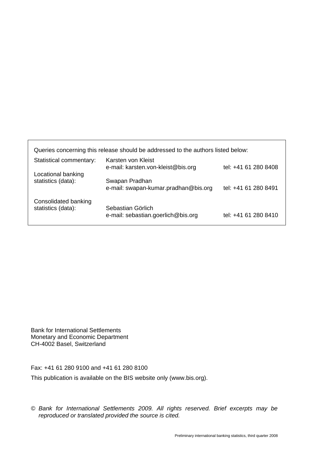| Queries concerning this release should be addressed to the authors listed below: |                                                          |                      |  |  |  |  |
|----------------------------------------------------------------------------------|----------------------------------------------------------|----------------------|--|--|--|--|
| Statistical commentary:                                                          | Karsten von Kleist<br>e-mail: karsten.von-kleist@bis.org | tel: +41 61 280 8408 |  |  |  |  |
| Locational banking<br>statistics (data):                                         | Swapan Pradhan<br>e-mail: swapan-kumar.pradhan@bis.org   | tel: +41 61 280 8491 |  |  |  |  |
| Consolidated banking<br>statistics (data):                                       | Sebastian Görlich<br>e-mail: sebastian.goerlich@bis.org  | tel: +41 61 280 8410 |  |  |  |  |

Bank for International Settlements Monetary and Economic Department CH-4002 Basel, Switzerland

Fax: +41 61 280 9100 and +41 61 280 8100

This publication is available on the BIS website only (www.bis.org).

*© Bank for International Settlements 2009. All rights reserved. Brief excerpts may be reproduced or translated provided the source is cited.*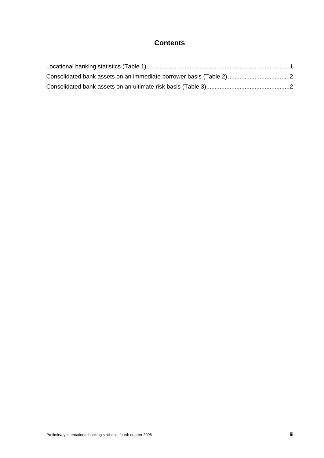## **Contents**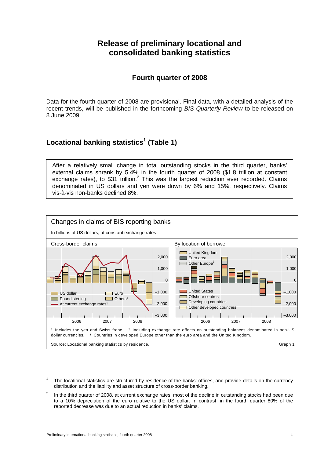# **Release of preliminary locational and consolidated banking statistics**

## **Fourth quarter of 2008**

Data for the fourth quarter of 2008 are provisional. Final data, with a detailed analysis of the recent trends, will be published in the forthcoming *BIS Quarterly Review* to be released on 8 June 2009.

# **Locational banking statistics**<sup>1</sup>  **(Table 1)**

After a relatively small change in total outstanding stocks in the third quarter, banks' external claims shrank by 5.4% in the fourth quarter of 2008 (\$1.8 trillion at constant exchange rates), to \$31 trillion.<sup>2</sup> This was the largest reduction ever recorded. Claims denominated in US dollars and yen were down by 6% and 15%, respectively. Claims vis-à-vis non-banks declined 8%.



<sup>1</sup> The locational statistics are structured by residence of the banks' offices, and provide details on the currency distribution and the liability and asset structure of cross-border banking.

-

<sup>2</sup> In the third quarter of 2008, at current exchange rates, most of the decline in outstanding stocks had been due to a 10% depreciation of the euro relative to the US dollar. In contrast, in the fourth quarter 80% of the reported decrease was due to an actual reduction in banks' claims.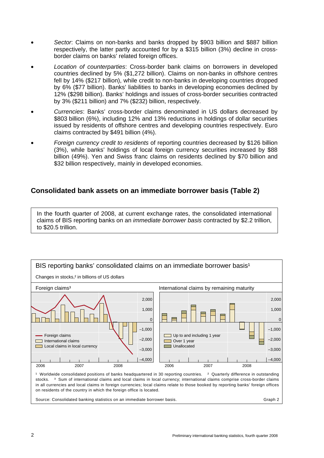- *Sector*: Claims on non-banks and banks dropped by \$903 billion and \$887 billion respectively, the latter partly accounted for by a \$315 billion (3%) decline in crossborder claims on banks' related foreign offices.
- *Location of counterparties*: Cross-border bank claims on borrowers in developed countries declined by 5% (\$1,272 billion). Claims on non-banks in offshore centres fell by 14% (\$217 billion), while credit to non-banks in developing countries dropped by 6% (\$77 billion). Banks' liabilities to banks in developing economies declined by 12% (\$298 billion). Banks' holdings and issues of cross-border securities contracted by 3% (\$211 billion) and 7% (\$232) billion, respectively.
- *Currencies*: Banks' cross-border claims denominated in US dollars decreased by \$803 billion (6%), including 12% and 13% reductions in holdings of dollar securities issued by residents of offshore centres and developing countries respectively. Euro claims contracted by \$491 billion (4%).
- *Foreign currency credit to residents* of reporting countries decreased by \$126 billion (3%), while banks' holdings of local foreign currency securities increased by \$88 billion (49%). Yen and Swiss franc claims on residents declined by \$70 billion and \$32 billion respectively, mainly in developed economies.

## **Consolidated bank assets on an immediate borrower basis (Table 2)**

In the fourth quarter of 2008, at current exchange rates, the consolidated international claims of BIS reporting banks on an *immediate borrower basis* contracted by \$2.2 trillion, to \$20.5 trillion.

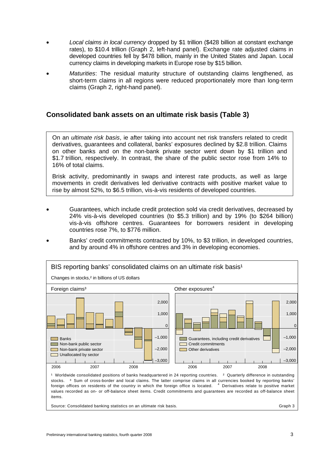- *Local claims in local currency* dropped by \$1 trillion (\$428 billion at constant exchange rates), to \$10.4 trillion (Graph 2, left-hand panel). Exchange rate adjusted claims in developed countries fell by \$478 billion, mainly in the United States and Japan. Local currency claims in developing markets in Europe rose by \$15 billion.
- *Maturities*: The residual maturity structure of outstanding claims lengthened, as short-term claims in all regions were reduced proportionately more than long-term claims (Graph 2, right-hand panel).

## **Consolidated bank assets on an ultimate risk basis (Table 3)**

On an *ultimate risk basis*, ie after taking into account net risk transfers related to credit derivatives, guarantees and collateral, banks' exposures declined by \$2.8 trillion. Claims on other banks and on the non-bank private sector went down by \$1 trillion and \$1.7 trillion, respectively. In contrast, the share of the public sector rose from 14% to 16% of total claims.

Brisk activity, predominantly in swaps and interest rate products, as well as large movements in credit derivatives led derivative contracts with positive market value to rise by almost 52%, to \$6.5 trillion, vis-à-vis residents of developed countries.

- Guarantees, which include credit protection sold via credit derivatives, decreased by 24% vis-à-vis developed countries (to \$5.3 trillion) and by 19% (to \$264 billion) vis-à-vis offshore centres. Guarantees for borrowers resident in developing countries rose 7%, to \$776 million.
- Banks' credit commitments contracted by 10%, to \$3 trillion, in developed countries, and by around 4% in offshore centres and 3% in developing economies.



Source: Consolidated banking statistics on an ultimate risk basis. Graph 3 School and Traph 3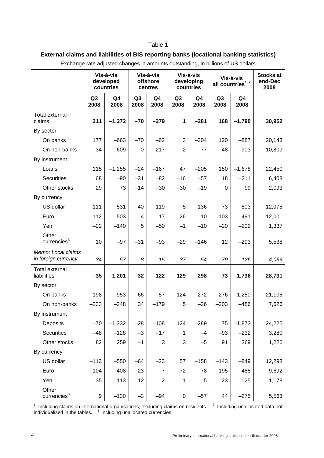#### Table 1

## **External claims and liabilities of BIS reporting banks (locational banking statistics)**

|                                           | Vis-à-vis<br>developed<br>countries |                        | Vis-à-vis<br>offshore<br>centres |                        | Vis-à-vis<br>developing<br>countries |            | Vis-à-vis<br>all countries <sup>1,2</sup> |                        | <b>Stocks at</b><br>end-Dec<br>2008 |
|-------------------------------------------|-------------------------------------|------------------------|----------------------------------|------------------------|--------------------------------------|------------|-------------------------------------------|------------------------|-------------------------------------|
|                                           | Q <sub>3</sub><br>2008              | Q <sub>4</sub><br>2008 | Q <sub>3</sub><br>2008           | Q <sub>4</sub><br>2008 | Q <sub>3</sub><br>2008               | Q4<br>2008 | Q <sub>3</sub><br>2008                    | Q <sub>4</sub><br>2008 |                                     |
| <b>Total external</b><br>claims           | 211                                 | $-1,272$               | $-70$                            | $-279$                 | 1                                    | $-281$     | 168                                       | $-1,790$               | 30,952                              |
| By sector                                 |                                     |                        |                                  |                        |                                      |            |                                           |                        |                                     |
| On banks                                  | 177                                 | $-663$                 | $-70$                            | $-62$                  | 3                                    | $-204$     | 120                                       | $-887$                 | 20,143                              |
| On non-banks                              | 34                                  | $-609$                 | 0                                | $-217$                 | $-2$                                 | $-77$      | 48                                        | $-903$                 | 10,809                              |
| By instrument                             |                                     |                        |                                  |                        |                                      |            |                                           |                        |                                     |
| Loans                                     | 115                                 | $-1,255$               | $-24$                            | $-167$                 | 47                                   | $-205$     | 150                                       | $-1,678$               | 22,450                              |
| <b>Securities</b>                         | 68                                  | $-90$                  | $-31$                            | $-82$                  | $-16$                                | $-57$      | 18                                        | $-211$                 | 6,408                               |
| Other stocks                              | 29                                  | 73                     | $-14$                            | $-30$                  | $-30$                                | $-19$      | $\Omega$                                  | 99                     | 2,093                               |
| By currency                               |                                     |                        |                                  |                        |                                      |            |                                           |                        |                                     |
| US dollar                                 | 111                                 | $-531$                 | $-40$                            | $-119$                 | 5                                    | $-136$     | 73                                        | $-803$                 | 12,075                              |
| Euro                                      | 112                                 | $-503$                 | $-4$                             | $-17$                  | 26                                   | 10         | 103                                       | $-491$                 | 12,001                              |
| Yen                                       | $-22$                               | $-140$                 | 5                                | $-50$                  | $-1$                                 | $-10$      | $-20$                                     | $-202$                 | 1,337                               |
| Other<br>currencies <sup>3</sup>          | 10                                  | $-97$                  | $-31$                            | $-93$                  | $-29$                                | $-146$     | 12                                        | $-293$                 | 5,538                               |
| Memo: Local claims<br>in foreign currency | 34                                  | $-57$                  | 8                                | $-15$                  | 37                                   | $-54$      | 79                                        | $-126$                 | 4,059                               |
| <b>Total external</b><br>liabilities      | $-35$                               | $-1,201$               | $-32$                            | $-122$                 | 129                                  | $-298$     | 73                                        | $-1,736$               | 28,731                              |
| By sector                                 |                                     |                        |                                  |                        |                                      |            |                                           |                        |                                     |
| On banks                                  | 198                                 | $-953$                 | $-66$                            | 57                     | 124                                  | $-272$     | 276                                       | $-1,250$               | 21,105                              |
| On non-banks                              | $-233$                              | $-248$                 | 34                               | $-179$                 | 5                                    | $-26$      | $-203$                                    | $-486$                 | 7,626                               |
| By instrument                             |                                     |                        |                                  |                        |                                      |            |                                           |                        |                                     |
| Deposits                                  | $-70$                               | $-1,332$               | $-28$                            | $-108$                 | 124                                  | $-289$     | 75                                        | $-1,873$               | 24,225                              |
| <b>Securities</b>                         | $-48$                               | $-128$                 | $-3$                             | $-17$                  | 1                                    | $-4$       | $-93$                                     | $-232$                 | 3,280                               |
| Other stocks                              | 82                                  | 259                    | $-1$                             | 3                      | 3                                    | $-5$       | 91                                        | 369                    | 1,226                               |
| By currency                               |                                     |                        |                                  |                        |                                      |            |                                           |                        |                                     |
| US dollar                                 | $-113$                              | $-550$                 | $-64$                            | $-23$                  | 57                                   | $-158$     | $-143$                                    | $-849$                 | 12,298                              |
| Euro                                      | 104                                 | $-408$                 | 23                               | $-7$                   | 72                                   | $-78$      | 195                                       | $-488$                 | 9,692                               |
| Yen                                       | $-35$                               | $-113$                 | 12                               | $\boldsymbol{2}$       | 1                                    | $-5$       | $-23$                                     | $-125$                 | 1,178                               |
| Other<br>currencies <sup>3</sup>          | 9                                   | $-130$                 | $-3$                             | $-94$                  | 0                                    | $-57$      | 44                                        | $-275$                 | 5,563                               |

Exchange rate adjusted changes in amounts outstanding, in billions of US dollars

<sup>1</sup> Including claims on international organisations; excluding claims on residents.  $\degree$  1ncluding unallocated data not individualised in the tables.  $3$  Including unallocated currencies.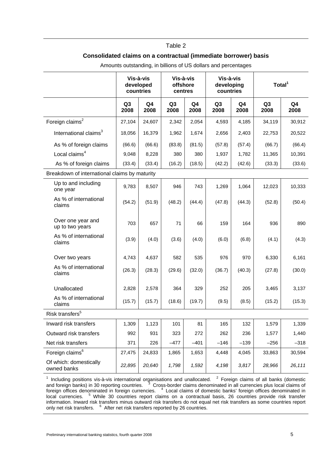#### Table 2

#### **Consolidated claims on a contractual (immediate borrower) basis**

|                                               | Vis-à-vis<br>developed<br>countries |            | Vis-à-vis<br>offshore<br>centres |            | Vis-à-vis<br>developing<br>countries |            | Total <sup>1</sup>     |                        |
|-----------------------------------------------|-------------------------------------|------------|----------------------------------|------------|--------------------------------------|------------|------------------------|------------------------|
|                                               | Q <sub>3</sub><br>2008              | Q4<br>2008 | Q3<br>2008                       | Q4<br>2008 | Q <sub>3</sub><br>2008               | Q4<br>2008 | Q <sub>3</sub><br>2008 | Q <sub>4</sub><br>2008 |
| Foreign claims $2$                            | 27,104                              | 24,607     | 2,342                            | 2,054      | 4,593                                | 4,185      | 34,119                 | 30,912                 |
| International claims <sup>3</sup>             | 18,056                              | 16,379     | 1,962                            | 1,674      | 2,656                                | 2,403      | 22,753                 | 20,522                 |
| As % of foreign claims                        | (66.6)                              | (66.6)     | (83.8)                           | (81.5)     | (57.8)                               | (57.4)     | (66.7)                 | (66.4)                 |
| Local claims <sup>4</sup>                     | 9,048                               | 8,228      | 380                              | 380        | 1,937                                | 1,782      | 11,365                 | 10,391                 |
| As % of foreign claims                        | (33.4)                              | (33.4)     | (16.2)                           | (18.5)     | (42.2)                               | (42.6)     | (33.3)                 | (33.6)                 |
| Breakdown of international claims by maturity |                                     |            |                                  |            |                                      |            |                        |                        |
| Up to and including<br>one year               | 9,783                               | 8,507      | 946                              | 743        | 1,269                                | 1,064      | 12,023                 | 10,333                 |
| As % of international<br>claims               | (54.2)                              | (51.9)     | (48.2)                           | (44.4)     | (47.8)                               | (44.3)     | (52.8)                 | (50.4)                 |
| Over one year and<br>up to two years          | 703                                 | 657        | 71                               | 66         | 159                                  | 164        | 936                    | 890                    |
| As % of international<br>claims               | (3.9)                               | (4.0)      | (3.6)                            | (4.0)      | (6.0)                                | (6.8)      | (4.1)                  | (4.3)                  |
| Over two years                                | 4,743                               | 4,637      | 582                              | 535        | 976                                  | 970        | 6,330                  | 6,161                  |
| As % of international<br>claims               | (26.3)                              | (28.3)     | (29.6)                           | (32.0)     | (36.7)                               | (40.3)     | (27.8)                 | (30.0)                 |
| Unallocated                                   | 2,828                               | 2,578      | 364                              | 329        | 252                                  | 205        | 3,465                  | 3,137                  |
| As % of international<br>claims               | (15.7)                              | (15.7)     | (18.6)                           | (19.7)     | (9.5)                                | (8.5)      | (15.2)                 | (15.3)                 |
| Risk transfers $5$                            |                                     |            |                                  |            |                                      |            |                        |                        |
| Inward risk transfers                         | 1,309                               | 1,123      | 101                              | 81         | 165                                  | 132        | 1,579                  | 1,339                  |
| Outward risk transfers                        | 992                                 | 931        | 323                              | 272        | 262                                  | 236        | 1,577                  | 1,440                  |
| Net risk transfers                            | 371                                 | 226        | $-477$                           | $-401$     | $-146$                               | $-139$     | $-256$                 | $-318$                 |
| Foreign claims <sup>6</sup>                   | 27,475                              | 24,833     | 1,865                            | 1,653      | 4,448                                | 4,045      | 33,863                 | 30,594                 |
| Of which: domestically<br>owned banks         | 22,895                              | 20,640     | 1,798                            | 1,592      | 4,198                                | 3,817      | 28,966                 | 26,111                 |

Amounts outstanding, in billions of US dollars and percentages

<sup>1</sup> Including positions vis-à-vis international organisations and unallocated. <sup>2</sup> Foreign claims of all banks (domestic and foreign banks) in 30 reporting countries. <sup>3</sup> Cross-border claims denominated in all currencies plus local claims of foreign offices denominated in foreign currencies. <sup>4</sup> Local claims of domestic banks' foreign offices denominated in local currencies. <sup>5</sup> While 30 countries report claims on a contractual basis, 26 countries provide risk transfer information. Inward risk transfers minus outward risk transfers do not equal net risk transfers as some countries report only net risk transfers. <sup>6</sup> After net risk transfers reported by 26 countries.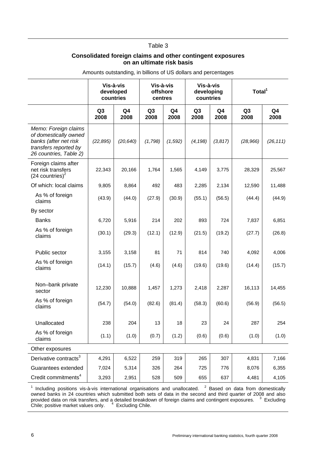#### Table 3

#### **Consolidated foreign claims and other contingent exposures on an ultimate risk basis**

|                                                                                                                           | Vis-à-vis<br>developed<br>countries |            | Vis-à-vis<br>offshore<br>centres |            | Vis-à-vis<br>developing<br>countries |            | Total <sup>1</sup>     |                        |
|---------------------------------------------------------------------------------------------------------------------------|-------------------------------------|------------|----------------------------------|------------|--------------------------------------|------------|------------------------|------------------------|
|                                                                                                                           | Q <sub>3</sub><br>2008              | Q4<br>2008 | Q <sub>3</sub><br>2008           | Q4<br>2008 | Q <sub>3</sub><br>2008               | Q4<br>2008 | Q <sub>3</sub><br>2008 | Q <sub>4</sub><br>2008 |
| Memo: Foreign claims<br>of domestically owned<br>banks (after net risk<br>transfers reported by<br>26 countries, Table 2) | (22, 895)                           | (20, 640)  | (1,798)                          | (1, 592)   | (4, 198)                             | (3, 817)   | (28,966)               | (26, 111)              |
| Foreign claims after<br>net risk transfers<br>$(24$ countries) <sup>2</sup>                                               | 22,343                              | 20,166     | 1,764                            | 1,565      | 4,149                                | 3,775      | 28,329                 | 25,567                 |
| Of which: local claims                                                                                                    | 9,805                               | 8,864      | 492                              | 483        | 2,285                                | 2,134      | 12,590                 | 11,488                 |
| As % of foreign<br>claims                                                                                                 | (43.9)                              | (44.0)     | (27.9)                           | (30.9)     | (55.1)                               | (56.5)     | (44.4)                 | (44.9)                 |
| By sector                                                                                                                 |                                     |            |                                  |            |                                      |            |                        |                        |
| <b>Banks</b>                                                                                                              | 6,720                               | 5,916      | 214                              | 202        | 893                                  | 724        | 7,837                  | 6,851                  |
| As % of foreign<br>claims                                                                                                 | (30.1)                              | (29.3)     | (12.1)                           | (12.9)     | (21.5)                               | (19.2)     | (27.7)                 | (26.8)                 |
| Public sector                                                                                                             | 3,155                               | 3,158      | 81                               | 71         | 814                                  | 740        | 4,092                  | 4,006                  |
| As % of foreign<br>claims                                                                                                 | (14.1)                              | (15.7)     | (4.6)                            | (4.6)      | (19.6)                               | (19.6)     | (14.4)                 | (15.7)                 |
| Non-bank private<br>sector                                                                                                | 12,230                              | 10,888     | 1,457                            | 1,273      | 2,418                                | 2,287      | 16,113                 | 14,455                 |
| As % of foreign<br>claims                                                                                                 | (54.7)                              | (54.0)     | (82.6)                           | (81.4)     | (58.3)                               | (60.6)     | (56.9)                 | (56.5)                 |
| Unallocated                                                                                                               | 238                                 | 204        | 13                               | 18         | 23                                   | 24         | 287                    | 254                    |
| As % of foreign<br>claims                                                                                                 | (1.1)                               | (1.0)      | (0.7)                            | (1.2)      | (0.6)                                | (0.6)      | (1.0)                  | (1.0)                  |
| Other exposures                                                                                                           |                                     |            |                                  |            |                                      |            |                        |                        |
| Derivative contracts <sup>3</sup>                                                                                         | 4,291                               | 6,522      | 259                              | 319        | 265                                  | 307        | 4,831                  | 7,166                  |
| Guarantees extended                                                                                                       | 7,024                               | 5,314      | 326                              | 264        | 725                                  | 776        | 8,076                  | 6,355                  |
| Credit commitments <sup>4</sup>                                                                                           | 3,293                               | 2,951      | 528                              | 509        | 655                                  | 637        | 4,481                  | 4,105                  |

Amounts outstanding, in billions of US dollars and percentages

<sup>1</sup> Including positions vis-à-vis international organisations and unallocated. <sup>2</sup> Based on data from domestically owned banks in 24 countries which submitted both sets of data in the second and third quarter of 2008 and also provided data on risk transfers, and a detailed breakdown of foreign claims and contingent exposures.  $3$  Excluding Chile; positive market values only. 4 Excluding Chile.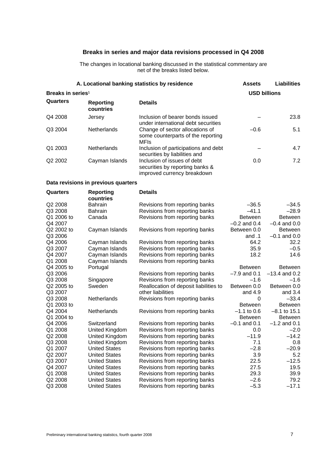### **Breaks in series and major data revisions processed in Q4 2008**

The changes in locational banking discussed in the statistical commentary are net of the breaks listed below.

|                               | A. Locational banking statistics by residence | <b>Assets</b>                                                                                 | <b>Liabilities</b>  |                  |  |
|-------------------------------|-----------------------------------------------|-----------------------------------------------------------------------------------------------|---------------------|------------------|--|
| Breaks in series <sup>1</sup> |                                               |                                                                                               | <b>USD billions</b> |                  |  |
| Quarters                      | Reporting<br>countries                        | <b>Details</b>                                                                                |                     |                  |  |
| Q4 2008                       | Jersey                                        | Inclusion of bearer bonds issued<br>under international debt securities                       |                     | 23.8             |  |
| Q3 2004                       | Netherlands                                   | Change of sector allocations of<br>some counterparts of the reporting<br><b>MFIs</b>          | $-0.6$              | 5.1              |  |
| Q1 2003                       | Netherlands                                   | Inclusion of participations and debt<br>securities by liabilities and                         |                     | 4.7              |  |
| Q2 2002                       | Cayman Islands                                | Inclusion of issues of debt<br>securities by reporting banks &<br>improved currency breakdown | 0.0                 | 7.2              |  |
|                               | Data revisions in previous quarters           |                                                                                               |                     |                  |  |
| Quarters                      | <b>Reporting</b><br>countries                 | <b>Details</b>                                                                                |                     |                  |  |
| Q2 2008                       | Bahrain                                       | Revisions from reporting banks                                                                | $-36.5$             | $-34.5$          |  |
| Q3 2008                       | <b>Bahrain</b>                                | Revisions from reporting banks                                                                | $-41.1$             | $-28.9$          |  |
| Q1 2006 to                    | Canada                                        | Revisions from reporting banks                                                                | <b>Between</b>      | <b>Between</b>   |  |
| Q4 2007                       |                                               |                                                                                               | $-0.2$ and 0.4      | $-0.4$ and 0.0   |  |
| Q2 2002 to                    | Cayman Islands                                | Revisions from reporting banks                                                                | Between 0.0         | <b>Between</b>   |  |
| Q3 2006                       |                                               |                                                                                               | and .1              | $-0.1$ and $0.0$ |  |
| Q4 2006                       | Cayman Islands                                | Revisions from reporting banks                                                                | 64.2                | 32.2             |  |
| Q3 2007                       | Cayman Islands                                | Revisions from reporting banks                                                                | 35.9                | $-0.5$           |  |
| Q4 2007                       | Cayman Islands                                | Revisions from reporting banks                                                                | 18.2                | 14.6             |  |
| Q1 2008                       | Cayman Islands                                | Revisions from reporting banks                                                                |                     |                  |  |
| Q4 2005 to                    | Portugal                                      |                                                                                               | <b>Between</b>      | <b>Between</b>   |  |
| Q3 2006                       |                                               | Revisions from reporting banks                                                                | $-7.9$ and 0.1      | $-13.4$ and 0.2  |  |
| Q3 2008                       | Singapore                                     | Revisions from reporting banks                                                                | $-1.6$              | $-1.6$           |  |
| Q2 2005 to                    | Sweden                                        | Reallocation of deposit liabilities to                                                        | Between 0.0         | Between 0.0      |  |
| Q3 2007                       |                                               | other liabilities                                                                             | and 4.9             | and 3.4          |  |
| Q3 2008                       | Netherlands                                   | Revisions from reporting banks                                                                | 0                   | $-33.4$          |  |
| Q1 2003 to                    |                                               |                                                                                               | <b>Between</b>      | <b>Between</b>   |  |
| Q4 2004                       | Netherlands                                   | Revisions from reporting banks                                                                | $-1.1$ to 0.6       | $-8.1$ to 15.1   |  |
| Q1 2004 to                    |                                               |                                                                                               | <b>Between</b>      | <b>Between</b>   |  |
| Q4 2006                       | Switzerland                                   | Revisions from reporting banks                                                                | $-0.1$ and 0.1      | $-1.2$ and 0.1   |  |
| Q1 2008                       | United Kingdom                                | Revisions from reporting banks                                                                | 0.0                 | $-2.0$           |  |
| Q2 2008                       | United Kingdom                                | Revisions from reporting banks                                                                | $-11.9$             | $-14.2$          |  |
| Q3 2008                       | United Kingdom                                | Revisions from reporting banks                                                                | 7.1                 | 0.8              |  |
| Q1 2007                       | <b>United States</b>                          | Revisions from reporting banks                                                                | $-2.8$              | $-20.9$          |  |
| Q2 2007                       | <b>United States</b>                          | Revisions from reporting banks                                                                | 3.9                 | 5.2              |  |
| Q3 2007                       | <b>United States</b>                          | Revisions from reporting banks                                                                | 22.5                | $-12.5$          |  |
| Q4 2007                       | <b>United States</b>                          | Revisions from reporting banks                                                                | 27.5                | 19.5             |  |
| Q1 2008                       | <b>United States</b>                          | Revisions from reporting banks                                                                | 29.3                | 39.9             |  |
| Q2 2008                       | <b>United States</b>                          | Revisions from reporting banks                                                                | $-2.6$              | 79.2             |  |
| Q3 2008                       | <b>United States</b>                          | Revisions from reporting banks                                                                | $-5.3$              | $-17.1$          |  |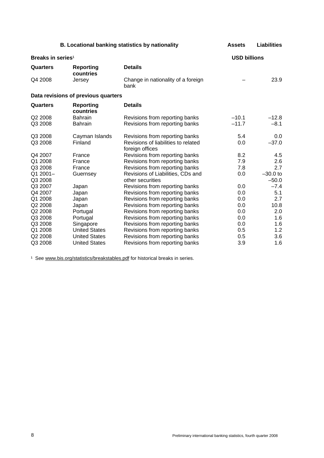|                               |                                     | B. Locational banking statistics by nationality        | <b>Assets</b>       | <b>Liabilities</b> |
|-------------------------------|-------------------------------------|--------------------------------------------------------|---------------------|--------------------|
| Breaks in series <sup>1</sup> |                                     |                                                        | <b>USD billions</b> |                    |
| Quarters                      | Reporting<br>countries              | <b>Details</b>                                         |                     |                    |
| Q4 2008                       | Jersey                              | Change in nationality of a foreign<br>bank             |                     | 23.9               |
|                               | Data revisions of previous quarters |                                                        |                     |                    |
| Quarters                      | <b>Reporting</b><br>countries       | <b>Details</b>                                         |                     |                    |
| Q2 2008                       | <b>Bahrain</b>                      | Revisions from reporting banks                         | $-10.1$             | $-12.8$            |
| Q3 2008                       | <b>Bahrain</b>                      | Revisions from reporting banks                         | $-11.7$             | $-8.1$             |
| Q3 2008                       | Cayman Islands                      | Revisions from reporting banks                         | 5.4                 | 0.0                |
| Q3 2008                       | Finland                             | Revisions of liabilities to related<br>foreign offices | 0.0                 | $-37.0$            |
| Q4 2007                       | France                              | Revisions from reporting banks                         | 8.2                 | 4.5                |
| Q1 2008                       | France                              | Revisions from reporting banks                         | 7.9                 | 2.6                |
| Q3 2008                       | France                              | Revisions from reporting banks                         | 7.8                 | 2.7                |
| Q1 2001-                      | Guernsey                            | Revisions of Liabilities, CDs and                      | 0.0                 | $-30.0$ to         |
| Q3 2008                       |                                     | other securities                                       |                     | $-50.0$            |
| Q3 2007                       | Japan                               | Revisions from reporting banks                         | 0.0                 | $-7.4$             |
| Q4 2007                       | Japan                               | Revisions from reporting banks                         | 0.0                 | 5.1                |
| Q1 2008                       | Japan                               | Revisions from reporting banks                         | 0.0                 | 2.7                |
| Q2 2008                       | Japan                               | Revisions from reporting banks                         | 0.0                 | 10.8               |
| Q2 2008                       | Portugal                            | Revisions from reporting banks                         | 0.0                 | 2.0                |
| Q3 2008                       | Portugal                            | Revisions from reporting banks                         | 0.0                 | 1.6                |
| Q3 2008                       | Singapore                           | Revisions from reporting banks                         | 0.0                 | 1.6                |
| Q1 2008                       | <b>United States</b>                | Revisions from reporting banks                         | 0.5                 | 1.2                |
| Q2 2008                       | <b>United States</b>                | Revisions from reporting banks                         | 0.5                 | 3.6                |
| Q3 2008                       | <b>United States</b>                | Revisions from reporting banks                         | 3.9                 | 1.6                |

<sup>1</sup> See www.bis.org/statistics/breakstables.pdf for historical breaks in series.